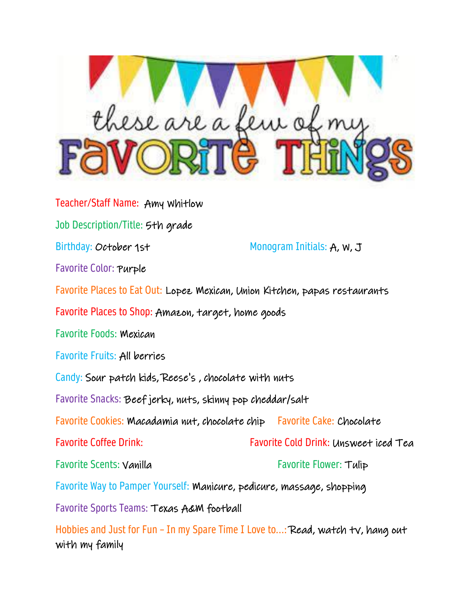

Teacher/Staff Name: Amy Whitlow Job Description/Title: 5th grade Birthday: October 1st Monogram Initials: A, W, J Favorite Color: Purple Favorite Places to Eat Out: Lopez Mexican, Union Kitchen, papas restaurants Favorite Places to Shop: Amazon, target, home goods Favorite Foods: Mexican Favorite Fruits: All berries Candy: Sour patch kids, Reese's , chocolate with nuts Favorite Snacks: Beef jerky, nuts, skinny pop cheddar/salt Favorite Cookies: Macadamia nut, chocolate chip Favorite Cake: Chocolate Favorite Coffee Drink: Favorite Cold Drink: Unsweet iced Tea Favorite Scents: Vanilla Favorite Flower: Tulip Favorite Way to Pamper Yourself: Manicure, pedicure, massage, shopping Favorite Sports Teams: Texas A&M football

Hobbies and Just for Fun – In my Spare Time I Love to…: Read, watch tv, hang out with my family